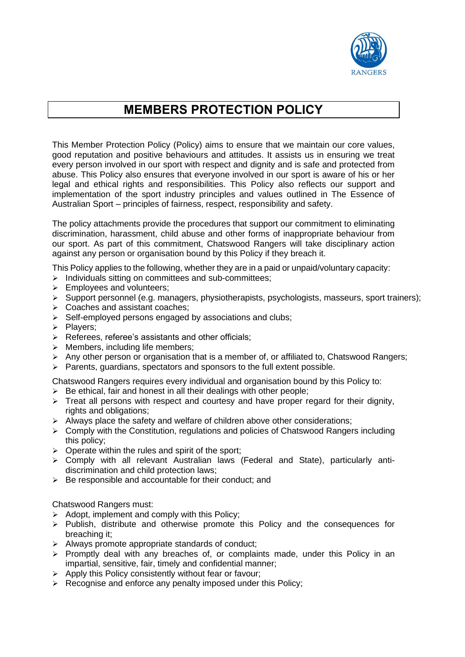

# **MEMBERS PROTECTION POLICY**

This Member Protection Policy (Policy) aims to ensure that we maintain our core values, good reputation and positive behaviours and attitudes. It assists us in ensuring we treat every person involved in our sport with respect and dignity and is safe and protected from abuse. This Policy also ensures that everyone involved in our sport is aware of his or her legal and ethical rights and responsibilities. This Policy also reflects our support and implementation of the sport industry principles and values outlined in The Essence of Australian Sport – principles of fairness, respect, responsibility and safety.

The policy attachments provide the procedures that support our commitment to eliminating discrimination, harassment, child abuse and other forms of inappropriate behaviour from our sport. As part of this commitment, Chatswood Rangers will take disciplinary action against any person or organisation bound by this Policy if they breach it.

This Policy applies to the following, whether they are in a paid or unpaid/voluntary capacity:

- ➢ Individuals sitting on committees and sub-committees;
- ➢ Employees and volunteers;
- ➢ Support personnel (e.g. managers, physiotherapists, psychologists, masseurs, sport trainers);
- ➢ Coaches and assistant coaches;
- ➢ Self-employed persons engaged by associations and clubs;
- ➢ Players;
- ➢ Referees, referee's assistants and other officials;
- $\triangleright$  Members, including life members;
- $\triangleright$  Any other person or organisation that is a member of, or affiliated to, Chatswood Rangers;
- ➢ Parents, guardians, spectators and sponsors to the full extent possible.

Chatswood Rangers requires every individual and organisation bound by this Policy to:

- $\triangleright$  Be ethical, fair and honest in all their dealings with other people;
- $\triangleright$  Treat all persons with respect and courtesy and have proper regard for their dignity, rights and obligations;
- $\geq$  Always place the safety and welfare of children above other considerations;
- ➢ Comply with the Constitution, regulations and policies of Chatswood Rangers including this policy;
- $\triangleright$  Operate within the rules and spirit of the sport;
- ➢ Comply with all relevant Australian laws (Federal and State), particularly antidiscrimination and child protection laws;
- ➢ Be responsible and accountable for their conduct; and

Chatswood Rangers must:

- $\triangleright$  Adopt, implement and comply with this Policy;
- ➢ Publish, distribute and otherwise promote this Policy and the consequences for breaching it;
- ➢ Always promote appropriate standards of conduct;
- $\triangleright$  Promptly deal with any breaches of, or complaints made, under this Policy in an impartial, sensitive, fair, timely and confidential manner;
- ➢ Apply this Policy consistently without fear or favour;
- ➢ Recognise and enforce any penalty imposed under this Policy;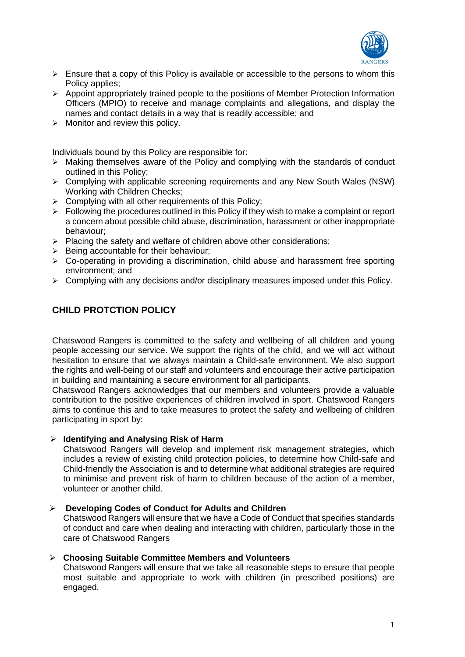

- $\triangleright$  Ensure that a copy of this Policy is available or accessible to the persons to whom this Policy applies:
- $\triangleright$  Appoint appropriately trained people to the positions of Member Protection Information Officers (MPIO) to receive and manage complaints and allegations, and display the names and contact details in a way that is readily accessible; and
- $\triangleright$  Monitor and review this policy.

Individuals bound by this Policy are responsible for:

- $\triangleright$  Making themselves aware of the Policy and complying with the standards of conduct outlined in this Policy;
- ➢ Complying with applicable screening requirements and any New South Wales (NSW) Working with Children Checks;
- $\triangleright$  Complying with all other requirements of this Policy:
- $\triangleright$  Following the procedures outlined in this Policy if they wish to make a complaint or report a concern about possible child abuse, discrimination, harassment or other inappropriate behaviour;
- ➢ Placing the safety and welfare of children above other considerations;
- ➢ Being accountable for their behaviour;
- ➢ Co-operating in providing a discrimination, child abuse and harassment free sporting environment; and
- ➢ Complying with any decisions and/or disciplinary measures imposed under this Policy.

# **CHILD PROTCTION POLICY**

Chatswood Rangers is committed to the safety and wellbeing of all children and young people accessing our service. We support the rights of the child, and we will act without hesitation to ensure that we always maintain a Child-safe environment. We also support the rights and well-being of our staff and volunteers and encourage their active participation in building and maintaining a secure environment for all participants.

Chatswood Rangers acknowledges that our members and volunteers provide a valuable contribution to the positive experiences of children involved in sport. Chatswood Rangers aims to continue this and to take measures to protect the safety and wellbeing of children participating in sport by:

#### ➢ **Identifying and Analysing Risk of Harm**

Chatswood Rangers will develop and implement risk management strategies, which includes a review of existing child protection policies, to determine how Child-safe and Child-friendly the Association is and to determine what additional strategies are required to minimise and prevent risk of harm to children because of the action of a member, volunteer or another child.

#### ➢ **Developing Codes of Conduct for Adults and Children**

Chatswood Rangers will ensure that we have a Code of Conduct that specifies standards of conduct and care when dealing and interacting with children, particularly those in the care of Chatswood Rangers

#### ➢ **Choosing Suitable Committee Members and Volunteers**

Chatswood Rangers will ensure that we take all reasonable steps to ensure that people most suitable and appropriate to work with children (in prescribed positions) are engaged.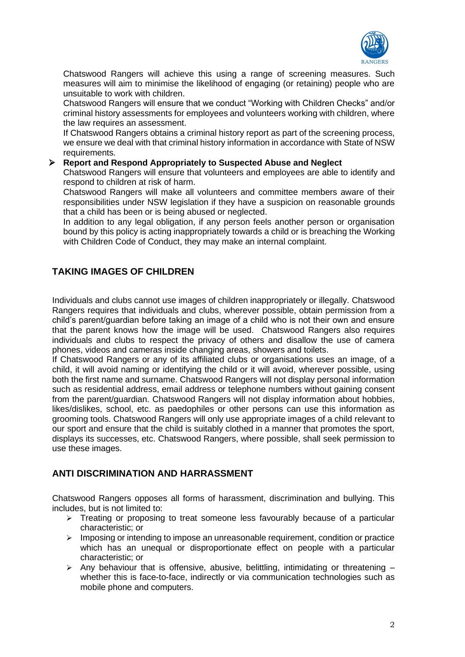

Chatswood Rangers will achieve this using a range of screening measures. Such measures will aim to minimise the likelihood of engaging (or retaining) people who are unsuitable to work with children.

Chatswood Rangers will ensure that we conduct "Working with Children Checks" and/or criminal history assessments for employees and volunteers working with children, where the law requires an assessment.

If Chatswood Rangers obtains a criminal history report as part of the screening process, we ensure we deal with that criminal history information in accordance with State of NSW requirements.

#### ➢ **Report and Respond Appropriately to Suspected Abuse and Neglect**

Chatswood Rangers will ensure that volunteers and employees are able to identify and respond to children at risk of harm.

Chatswood Rangers will make all volunteers and committee members aware of their responsibilities under NSW legislation if they have a suspicion on reasonable grounds that a child has been or is being abused or neglected.

In addition to any legal obligation, if any person feels another person or organisation bound by this policy is acting inappropriately towards a child or is breaching the Working with Children Code of Conduct, they may make an internal complaint.

## **TAKING IMAGES OF CHILDREN**

Individuals and clubs cannot use images of children inappropriately or illegally. Chatswood Rangers requires that individuals and clubs, wherever possible, obtain permission from a child's parent/guardian before taking an image of a child who is not their own and ensure that the parent knows how the image will be used. Chatswood Rangers also requires individuals and clubs to respect the privacy of others and disallow the use of camera phones, videos and cameras inside changing areas, showers and toilets.

If Chatswood Rangers or any of its affiliated clubs or organisations uses an image, of a child, it will avoid naming or identifying the child or it will avoid, wherever possible, using both the first name and surname. Chatswood Rangers will not display personal information such as residential address, email address or telephone numbers without gaining consent from the parent/guardian. Chatswood Rangers will not display information about hobbies, likes/dislikes, school, etc. as paedophiles or other persons can use this information as grooming tools. Chatswood Rangers will only use appropriate images of a child relevant to our sport and ensure that the child is suitably clothed in a manner that promotes the sport, displays its successes, etc. Chatswood Rangers, where possible, shall seek permission to use these images.

## **ANTI DISCRIMINATION AND HARRASSMENT**

Chatswood Rangers opposes all forms of harassment, discrimination and bullying. This includes, but is not limited to:

- $\triangleright$  Treating or proposing to treat someone less favourably because of a particular characteristic; or
- $\triangleright$  Imposing or intending to impose an unreasonable requirement, condition or practice which has an unequal or disproportionate effect on people with a particular characteristic; or
- $\triangleright$  Any behaviour that is offensive, abusive, belittling, intimidating or threatening whether this is face-to-face, indirectly or via communication technologies such as mobile phone and computers.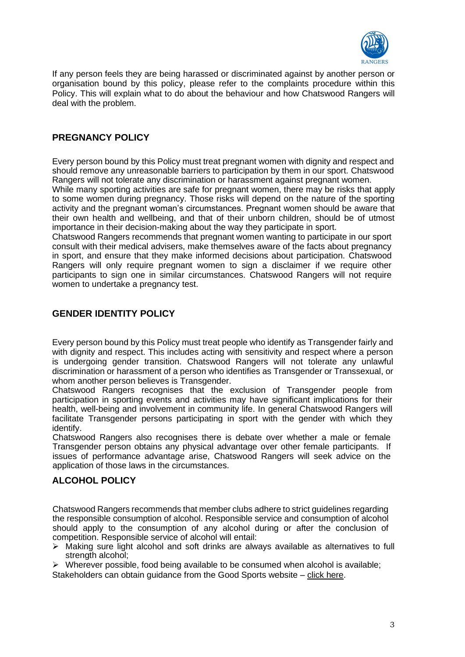

If any person feels they are being harassed or discriminated against by another person or organisation bound by this policy, please refer to the complaints procedure within this Policy. This will explain what to do about the behaviour and how Chatswood Rangers will deal with the problem.

## **PREGNANCY POLICY**

Every person bound by this Policy must treat pregnant women with dignity and respect and should remove any unreasonable barriers to participation by them in our sport. Chatswood Rangers will not tolerate any discrimination or harassment against pregnant women.

While many sporting activities are safe for pregnant women, there may be risks that apply to some women during pregnancy. Those risks will depend on the nature of the sporting activity and the pregnant woman's circumstances. Pregnant women should be aware that their own health and wellbeing, and that of their unborn children, should be of utmost importance in their decision-making about the way they participate in sport.

Chatswood Rangers recommends that pregnant women wanting to participate in our sport consult with their medical advisers, make themselves aware of the facts about pregnancy in sport, and ensure that they make informed decisions about participation. Chatswood Rangers will only require pregnant women to sign a disclaimer if we require other participants to sign one in similar circumstances. Chatswood Rangers will not require women to undertake a pregnancy test.

## **GENDER IDENTITY POLICY**

Every person bound by this Policy must treat people who identify as Transgender fairly and with dignity and respect. This includes acting with sensitivity and respect where a person is undergoing gender transition. Chatswood Rangers will not tolerate any unlawful discrimination or harassment of a person who identifies as Transgender or Transsexual, or whom another person believes is Transgender.

Chatswood Rangers recognises that the exclusion of Transgender people from participation in sporting events and activities may have significant implications for their health, well-being and involvement in community life. In general Chatswood Rangers will facilitate Transgender persons participating in sport with the gender with which they identify.

Chatswood Rangers also recognises there is debate over whether a male or female Transgender person obtains any physical advantage over other female participants. If issues of performance advantage arise, Chatswood Rangers will seek advice on the application of those laws in the circumstances.

## **ALCOHOL POLICY**

Chatswood Rangers recommends that member clubs adhere to strict guidelines regarding the responsible consumption of alcohol. Responsible service and consumption of alcohol should apply to the consumption of any alcohol during or after the conclusion of competition. Responsible service of alcohol will entail:

➢ Making sure light alcohol and soft drinks are always available as alternatives to full strength alcohol;

 $\triangleright$  Wherever possible, food being available to be consumed when alcohol is available; Stakeholders can obtain guidance from the Good Sports website – [click here.](https://goodsports.com.au/)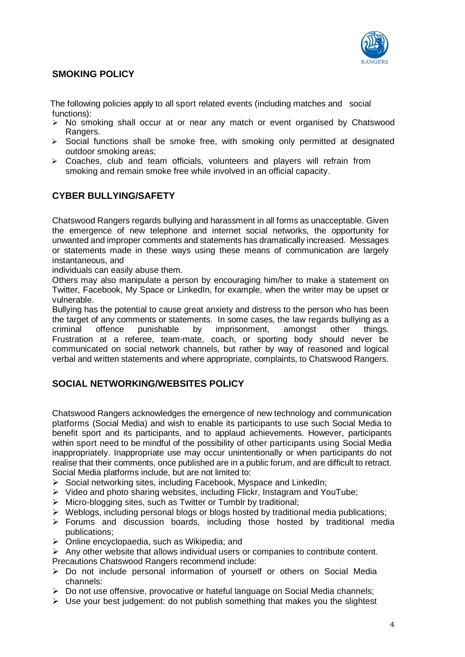

# **SMOKING POLICY**

The following policies apply to all sport related events (including matches and social functions):

- ➢ No smoking shall occur at or near any match or event organised by Chatswood Rangers.
- ➢ Social functions shall be smoke free, with smoking only permitted at designated outdoor smoking areas;
- $\geq$  Coaches, club and team officials, volunteers and players will refrain from smoking and remain smoke free while involved in an official capacity.

## **CYBER BULLYING/SAFETY**

Chatswood Rangers regards bullying and harassment in all forms as unacceptable. Given the emergence of new telephone and internet social networks, the opportunity for unwanted and improper comments and statements has dramatically increased. Messages or statements made in these ways using these means of communication are largely instantaneous, and

individuals can easily abuse them.

Others may also manipulate a person by encouraging him/her to make a statement on Twitter, Facebook, My Space or LinkedIn, for example, when the writer may be upset or vulnerable.

Bullying has the potential to cause great anxiety and distress to the person who has been the target of any comments or statements. In some cases, the law regards bullying as a criminal offence punishable by imprisonment, amongst other things. Frustration at a referee, team-mate, coach, or sporting body should never be communicated on social network channels, but rather by way of reasoned and logical verbal and written statements and where appropriate, complaints, to Chatswood Rangers.

# **SOCIAL NETWORKING/WEBSITES POLICY**

Chatswood Rangers acknowledges the emergence of new technology and communication platforms (Social Media) and wish to enable its participants to use such Social Media to benefit sport and its participants, and to applaud achievements. However, participants within sport need to be mindful of the possibility of other participants using Social Media inappropriately. Inappropriate use may occur unintentionally or when participants do not realise that their comments, once published are in a public forum, and are difficult to retract. Social Media platforms include, but are not limited to:

- ➢ Social networking sites, including Facebook, Myspace and LinkedIn;
- ➢ Video and photo sharing websites, including Flickr, Instagram and YouTube;
- ➢ Micro-blogging sites, such as Twitter or Tumblr by traditional;
- $\triangleright$  Weblogs, including personal blogs or blogs hosted by traditional media publications;
- ➢ Forums and discussion boards, including those hosted by traditional media publications;
- ➢ Online encyclopaedia, such as Wikipedia; and
- $\triangleright$  Any other website that allows individual users or companies to contribute content.
- Precautions Chatswood Rangers recommend include:
- ➢ Do not include personal information of yourself or others on Social Media channels:
- ➢ Do not use offensive, provocative or hateful language on Social Media channels;
- ➢ Use your best judgement: do not publish something that makes you the slightest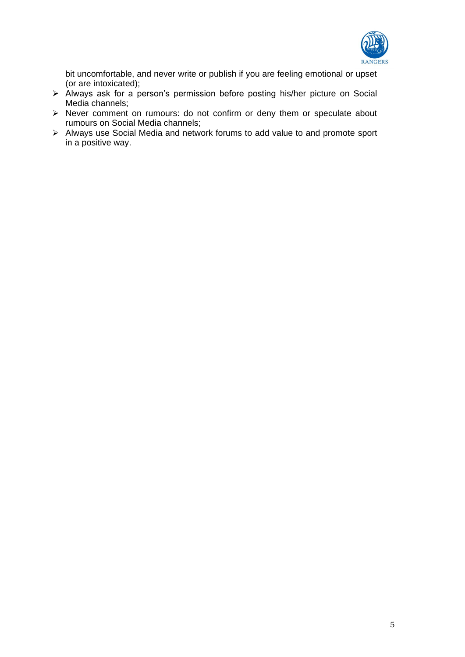

bit uncomfortable, and never write or publish if you are feeling emotional or upset (or are intoxicated);

- $\triangleright$  Always ask for a person's permission before posting his/her picture on Social Media channels;
- ➢ Never comment on rumours: do not confirm or deny them or speculate about rumours on Social Media channels;
- ➢ Always use Social Media and network forums to add value to and promote sport in a positive way.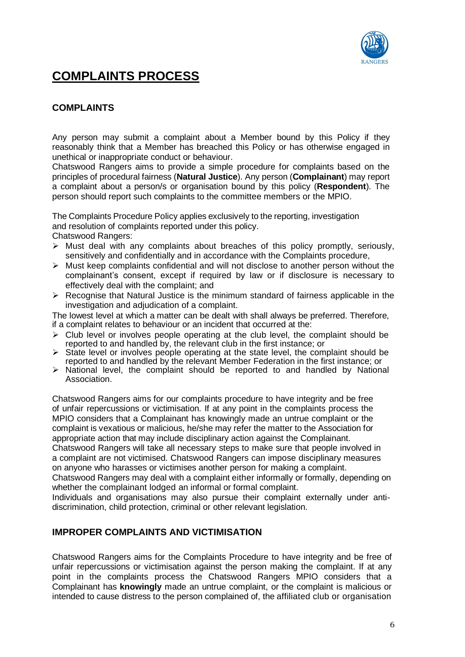

# **COMPLAINTS PROCESS**

# **COMPLAINTS**

Any person may submit a complaint about a Member bound by this Policy if they reasonably think that a Member has breached this Policy or has otherwise engaged in unethical or inappropriate conduct or behaviour.

Chatswood Rangers aims to provide a simple procedure for complaints based on the principles of procedural fairness (**Natural Justice**). Any person (**Complainant**) may report a complaint about a person/s or organisation bound by this policy (**Respondent**). The person should report such complaints to the committee members or the MPIO.

The Complaints Procedure Policy applies exclusively to the reporting, investigation and resolution of complaints reported under this policy. Chatswood Rangers:

- ➢ Must deal with any complaints about breaches of this policy promptly, seriously, sensitively and confidentially and in accordance with the Complaints procedure,
- ➢ Must keep complaints confidential and will not disclose to another person without the complainant's consent, except if required by law or if disclosure is necessary to effectively deal with the complaint; and
- $\triangleright$  Recognise that Natural Justice is the minimum standard of fairness applicable in the investigation and adjudication of a complaint.

The lowest level at which a matter can be dealt with shall always be preferred. Therefore, if a complaint relates to behaviour or an incident that occurred at the:

- $\triangleright$  Club level or involves people operating at the club level, the complaint should be reported to and handled by, the relevant club in the first instance; or
- ➢ State level or involves people operating at the state level, the complaint should be reported to and handled by the relevant Member Federation in the first instance; or
- $\triangleright$  National level, the complaint should be reported to and handled by National Association.

Chatswood Rangers aims for our complaints procedure to have integrity and be free of unfair repercussions or victimisation. If at any point in the complaints process the MPIO considers that a Complainant has knowingly made an untrue complaint or the complaint is vexatious or malicious, he/she may refer the matter to the Association for appropriate action that may include disciplinary action against the Complainant.

Chatswood Rangers will take all necessary steps to make sure that people involved in a complaint are not victimised. Chatswood Rangers can impose disciplinary measures on anyone who harasses or victimises another person for making a complaint.

Chatswood Rangers may deal with a complaint either informally or formally, depending on whether the complainant lodged an informal or formal complaint.

Individuals and organisations may also pursue their complaint externally under antidiscrimination, child protection, criminal or other relevant legislation.

## **IMPROPER COMPLAINTS AND VICTIMISATION**

Chatswood Rangers aims for the Complaints Procedure to have integrity and be free of unfair repercussions or victimisation against the person making the complaint. If at any point in the complaints process the Chatswood Rangers MPIO considers that a Complainant has **knowingly** made an untrue complaint, or the complaint is malicious or intended to cause distress to the person complained of, the affiliated club or organisation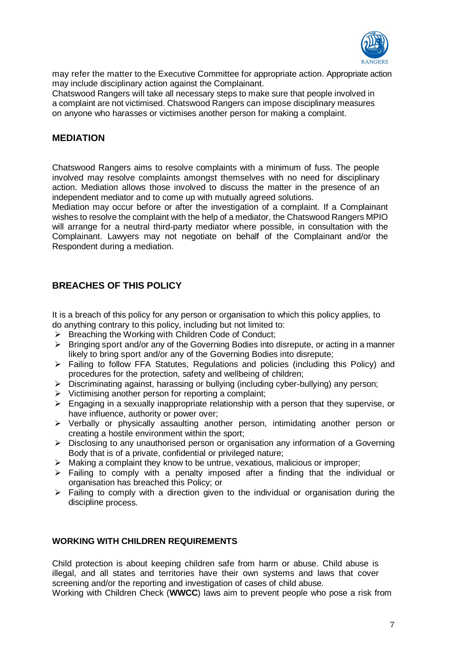

may refer the matter to the Executive Committee for appropriate action. Appropriate action may include disciplinary action against the Complainant.

Chatswood Rangers will take all necessary steps to make sure that people involved in a complaint are not victimised. Chatswood Rangers can impose disciplinary measures on anyone who harasses or victimises another person for making a complaint.

## **MEDIATION**

Chatswood Rangers aims to resolve complaints with a minimum of fuss. The people involved may resolve complaints amongst themselves with no need for disciplinary action. Mediation allows those involved to discuss the matter in the presence of an independent mediator and to come up with mutually agreed solutions.

Mediation may occur before or after the investigation of a complaint. If a Complainant wishes to resolve the complaint with the help of a mediator, the Chatswood Rangers MPIO will arrange for a neutral third-party mediator where possible, in consultation with the Complainant. Lawyers may not negotiate on behalf of the Complainant and/or the Respondent during a mediation.

# **BREACHES OF THIS POLICY**

It is a breach of this policy for any person or organisation to which this policy applies, to do anything contrary to this policy, including but not limited to:

- ➢ Breaching the Working with Children Code of Conduct;
- ➢ Bringing sport and/or any of the Governing Bodies into disrepute, or acting in a manner likely to bring sport and/or any of the Governing Bodies into disrepute;
- ➢ Failing to follow FFA Statutes, Regulations and policies (including this Policy) and procedures for the protection, safety and wellbeing of children;
- ➢ Discriminating against, harassing or bullying (including cyber-bullying) any person;
- ➢ Victimising another person for reporting a complaint;
- ➢ Engaging in a sexually inappropriate relationship with a person that they supervise, or have influence, authority or power over;
- ➢ Verbally or physically assaulting another person, intimidating another person or creating a hostile environment within the sport;
- ➢ Disclosing to any unauthorised person or organisation any information of a Governing Body that is of a private, confidential or privileged nature;
- ➢ Making a complaint they know to be untrue, vexatious, malicious or improper;
- ➢ Failing to comply with a penalty imposed after a finding that the individual or organisation has breached this Policy; or
- $\triangleright$  Failing to comply with a direction given to the individual or organisation during the discipline process.

#### **WORKING WITH CHILDREN REQUIREMENTS**

Child protection is about keeping children safe from harm or abuse. Child abuse is illegal, and all states and territories have their own systems and laws that cover screening and/or the reporting and investigation of cases of child abuse.

Working with Children Check (**WWCC**) laws aim to prevent people who pose a risk from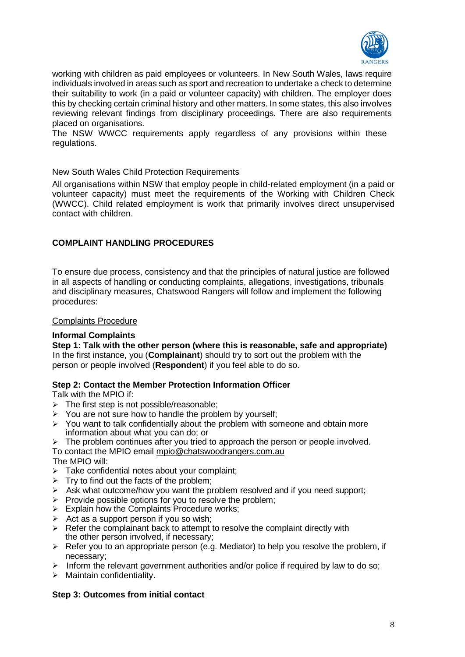

working with children as paid employees or volunteers. In New South Wales, laws require individuals involved in areas such as sport and recreation to undertake a check to determine their suitability to work (in a paid or volunteer capacity) with children. The employer does this by checking certain criminal history and other matters. In some states, this also involves reviewing relevant findings from disciplinary proceedings. There are also requirements placed on organisations.

The NSW WWCC requirements apply regardless of any provisions within these regulations.

#### New South Wales Child Protection Requirements

All organisations within NSW that employ people in child-related employment (in a paid or volunteer capacity) must meet the requirements of the Working with Children Check (WWCC). Child related employment is work that primarily involves direct unsupervised contact with children.

#### **COMPLAINT HANDLING PROCEDURES**

To ensure due process, consistency and that the principles of natural justice are followed in all aspects of handling or conducting complaints, allegations, investigations, tribunals and disciplinary measures, Chatswood Rangers will follow and implement the following procedures:

#### Complaints Procedure

#### **Informal Complaints**

**Step 1: Talk with the other person (where this is reasonable, safe and appropriate)** In the first instance, you (**Complainant**) should try to sort out the problem with the person or people involved (**Respondent**) if you feel able to do so.

#### **Step 2: Contact the Member Protection Information Officer**

Talk with the MPIO if:

- $\triangleright$  The first step is not possible/reasonable;
- ➢ You are not sure how to handle the problem by yourself;
- $\triangleright$  You want to talk confidentially about the problem with someone and obtain more information about what you can do; or
- $\triangleright$  The problem continues after you tried to approach the person or people involved.

To contact the MPIO email [mpio@chatswoodrangers.com.au](mailto:mpio@chatswoodrangers.com.au) The MPIO will:

- $\triangleright$  Take confidential notes about your complaint;
- $\triangleright$  Try to find out the facts of the problem;
- ➢ Ask what outcome/how you want the problem resolved and if you need support;
- $\triangleright$  Provide possible options for you to resolve the problem;
- $\triangleright$  Explain how the Complaints Procedure works;
- $\triangleright$  Act as a support person if you so wish;
- ➢ Refer the complainant back to attempt to resolve the complaint directly with the other person involved, if necessary;
- $\triangleright$  Refer you to an appropriate person (e.g. Mediator) to help you resolve the problem, if necessary;
- $\triangleright$  Inform the relevant government authorities and/or police if required by law to do so;
- $\triangleright$  Maintain confidentiality.

#### **Step 3: Outcomes from initial contact**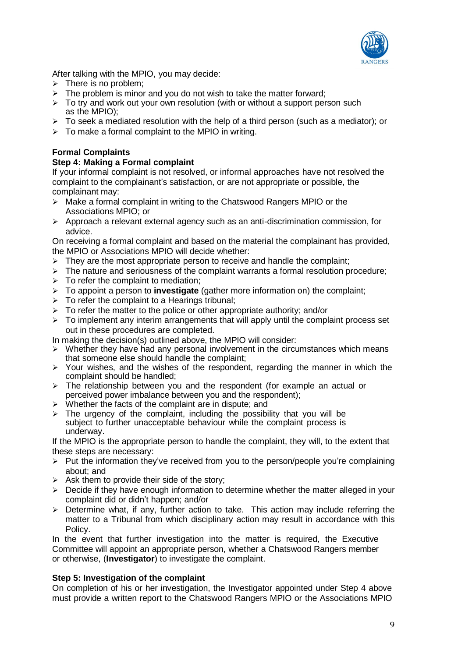

After talking with the MPIO, you may decide:

- $\triangleright$  There is no problem:
- $\triangleright$  The problem is minor and you do not wish to take the matter forward;
- $\triangleright$  To try and work out your own resolution (with or without a support person such as the MPIO);
- $\triangleright$  To seek a mediated resolution with the help of a third person (such as a mediator); or
- $\triangleright$  To make a formal complaint to the MPIO in writing.

### **Formal Complaints**

#### **Step 4: Making a Formal complaint**

If your informal complaint is not resolved, or informal approaches have not resolved the complaint to the complainant's satisfaction, or are not appropriate or possible, the complainant may:

- $\triangleright$  Make a formal complaint in writing to the Chatswood Rangers MPIO or the Associations MPIO; or
- ➢ Approach a relevant external agency such as an anti-discrimination commission, for advice.

On receiving a formal complaint and based on the material the complainant has provided, the MPIO or Associations MPIO will decide whether:

- $\triangleright$  They are the most appropriate person to receive and handle the complaint;
- $\triangleright$  The nature and seriousness of the complaint warrants a formal resolution procedure;
- $\triangleright$  To refer the complaint to mediation:
- ➢ To appoint a person to **investigate** (gather more information on) the complaint;
- $\triangleright$  To refer the complaint to a Hearings tribunal;
- $\triangleright$  To refer the matter to the police or other appropriate authority; and/or
- $\geq$  To implement any interim arrangements that will apply until the complaint process set out in these procedures are completed.
- In making the decision(s) outlined above, the MPIO will consider:
- ➢ Whether they have had any personal involvement in the circumstances which means that someone else should handle the complaint;
- $\geq$  Your wishes, and the wishes of the respondent, regarding the manner in which the complaint should be handled;
- ➢ The relationship between you and the respondent (for example an actual or perceived power imbalance between you and the respondent);
- ➢ Whether the facts of the complaint are in dispute; and
- $\triangleright$  The urgency of the complaint, including the possibility that you will be subject to further unacceptable behaviour while the complaint process is underway.

If the MPIO is the appropriate person to handle the complaint, they will, to the extent that these steps are necessary:

- $\triangleright$  Put the information they've received from you to the person/people you're complaining about; and
- $\triangleright$  Ask them to provide their side of the story;
- ➢ Decide if they have enough information to determine whether the matter alleged in your complaint did or didn't happen; and/or
- $\geq$  Determine what, if any, further action to take. This action may include referring the matter to a Tribunal from which disciplinary action may result in accordance with this Policy.

In the event that further investigation into the matter is required, the Executive Committee will appoint an appropriate person, whether a Chatswood Rangers member or otherwise, (**Investigator**) to investigate the complaint.

#### **Step 5: Investigation of the complaint**

On completion of his or her investigation, the Investigator appointed under Step 4 above must provide a written report to the Chatswood Rangers MPIO or the Associations MPIO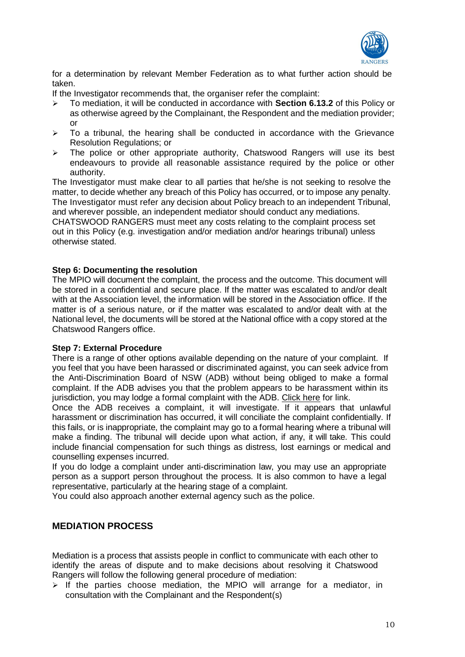

for a determination by relevant Member Federation as to what further action should be taken.

If the Investigator recommends that, the organiser refer the complaint:

- ➢ To mediation, it will be conducted in accordance with **Section 6.13.2** of this Policy or as otherwise agreed by the Complainant, the Respondent and the mediation provider; or
- $\geq$  To a tribunal, the hearing shall be conducted in accordance with the Grievance Resolution Regulations; or
- ➢ The police or other appropriate authority, Chatswood Rangers will use its best endeavours to provide all reasonable assistance required by the police or other authority.

The Investigator must make clear to all parties that he/she is not seeking to resolve the matter, to decide whether any breach of this Policy has occurred, or to impose any penalty. The Investigator must refer any decision about Policy breach to an independent Tribunal, and wherever possible, an independent mediator should conduct any mediations.

CHATSWOOD RANGERS must meet any costs relating to the complaint process set out in this Policy (e.g. investigation and/or mediation and/or hearings tribunal) unless otherwise stated.

#### **Step 6: Documenting the resolution**

The MPIO will document the complaint, the process and the outcome. This document will be stored in a confidential and secure place. If the matter was escalated to and/or dealt with at the Association level, the information will be stored in the Association office. If the matter is of a serious nature, or if the matter was escalated to and/or dealt with at the National level, the documents will be stored at the National office with a copy stored at the Chatswood Rangers office.

#### **Step 7: External Procedure**

There is a range of other options available depending on the nature of your complaint. If you feel that you have been harassed or discriminated against, you can seek advice from the Anti-Discrimination Board of NSW (ADB) without being obliged to make a formal complaint. If the ADB advises you that the problem appears to be harassment within its jurisdiction, you may lodge a formal complaint with the ADB. [Click here](http://www.antidiscrimination.justice.nsw.gov.au/) for link.

Once the ADB receives a complaint, it will investigate. If it appears that unlawful harassment or discrimination has occurred, it will conciliate the complaint confidentially. If this fails, or is inappropriate, the complaint may go to a formal hearing where a tribunal will make a finding. The tribunal will decide upon what action, if any, it will take. This could include financial compensation for such things as distress, lost earnings or medical and counselling expenses incurred.

If you do lodge a complaint under anti-discrimination law, you may use an appropriate person as a support person throughout the process. It is also common to have a legal representative, particularly at the hearing stage of a complaint.

You could also approach another external agency such as the police.

## **MEDIATION PROCESS**

Mediation is a process that assists people in conflict to communicate with each other to identify the areas of dispute and to make decisions about resolving it Chatswood Rangers will follow the following general procedure of mediation:

 $\triangleright$  If the parties choose mediation, the MPIO will arrange for a mediator, in consultation with the Complainant and the Respondent(s)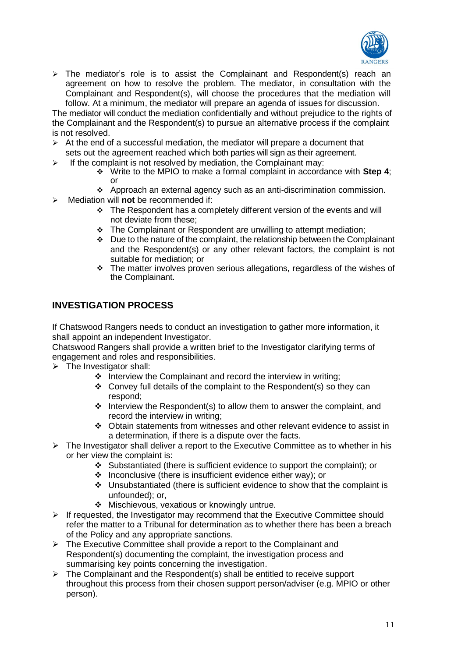

➢ The mediator's role is to assist the Complainant and Respondent(s) reach an agreement on how to resolve the problem. The mediator, in consultation with the Complainant and Respondent(s), will choose the procedures that the mediation will follow. At a minimum, the mediator will prepare an agenda of issues for discussion.

The mediator will conduct the mediation confidentially and without prejudice to the rights of the Complainant and the Respondent(s) to pursue an alternative process if the complaint is not resolved.

- $\triangleright$  At the end of a successful mediation, the mediator will prepare a document that sets out the agreement reached which both parties will sign as their agreement.
- $\geq$  If the complaint is not resolved by mediation, the Complainant may:
	- ❖ Write to the MPIO to make a formal complaint in accordance with **Step 4**; or
	- ❖ Approach an external agency such as an anti-discrimination commission.
	- ➢ Mediation will **not** be recommended if:
		- ❖ The Respondent has a completely different version of the events and will not deviate from these;
		- ❖ The Complainant or Respondent are unwilling to attempt mediation;
		- ❖ Due to the nature of the complaint, the relationship between the Complainant and the Respondent(s) or any other relevant factors, the complaint is not suitable for mediation; or
		- ❖ The matter involves proven serious allegations, regardless of the wishes of the Complainant.

## **INVESTIGATION PROCESS**

If Chatswood Rangers needs to conduct an investigation to gather more information, it shall appoint an independent Investigator.

Chatswood Rangers shall provide a written brief to the Investigator clarifying terms of engagement and roles and responsibilities.

- $\triangleright$  The Investigator shall:
	- ❖ Interview the Complainant and record the interview in writing;
	- ❖ Convey full details of the complaint to the Respondent(s) so they can respond;
	- ❖ Interview the Respondent(s) to allow them to answer the complaint, and record the interview in writing;
	- ❖ Obtain statements from witnesses and other relevant evidence to assist in a determination, if there is a dispute over the facts.
- $\triangleright$  The Investigator shall deliver a report to the Executive Committee as to whether in his or her view the complaint is:
	- ❖ Substantiated (there is sufficient evidence to support the complaint); or
	- ❖ Inconclusive (there is insufficient evidence either way); or
	- ❖ Unsubstantiated (there is sufficient evidence to show that the complaint is unfounded); or,
	- ❖ Mischievous, vexatious or knowingly untrue.
- $\triangleright$  If requested, the Investigator may recommend that the Executive Committee should refer the matter to a Tribunal for determination as to whether there has been a breach of the Policy and any appropriate sanctions.
- ➢ The Executive Committee shall provide a report to the Complainant and Respondent(s) documenting the complaint, the investigation process and summarising key points concerning the investigation.
- ➢ The Complainant and the Respondent(s) shall be entitled to receive support throughout this process from their chosen support person/adviser (e.g. MPIO or other person).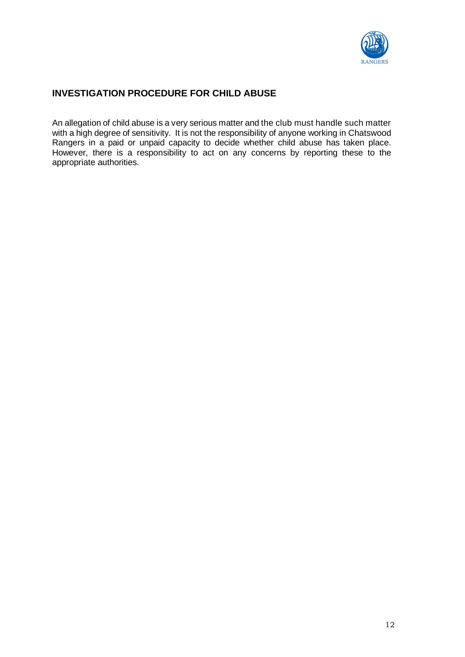

# **INVESTIGATION PROCEDURE FOR CHILD ABUSE**

An allegation of child abuse is a very serious matter and the club must handle such matter with a high degree of sensitivity. It is not the responsibility of anyone working in Chatswood Rangers in a paid or unpaid capacity to decide whether child abuse has taken place. However, there is a responsibility to act on any concerns by reporting these to the appropriate authorities.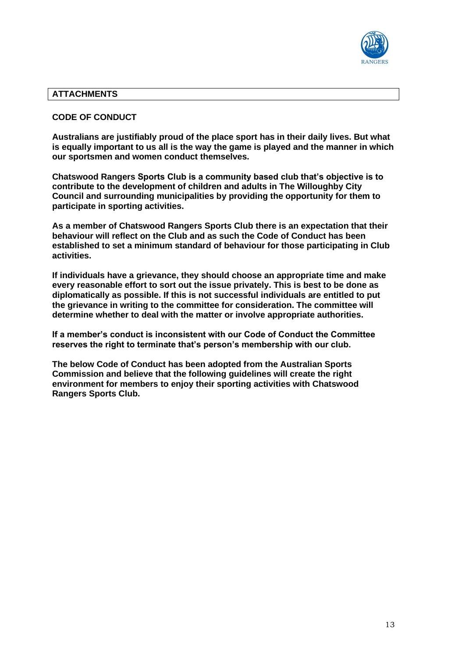

#### **ATTACHMENTS**

#### **CODE OF CONDUCT**

**Australians are justifiably proud of the place sport has in their daily lives. But what is equally important to us all is the way the game is played and the manner in which our sportsmen and women conduct themselves.**

**Chatswood Rangers Sports Club is a community based club that's objective is to contribute to the development of children and adults in The Willoughby City Council and surrounding municipalities by providing the opportunity for them to participate in sporting activities.**

**As a member of Chatswood Rangers Sports Club there is an expectation that their behaviour will reflect on the Club and as such the Code of Conduct has been established to set a minimum standard of behaviour for those participating in Club activities.**

**If individuals have a grievance, they should choose an appropriate time and make every reasonable effort to sort out the issue privately. This is best to be done as diplomatically as possible. If this is not successful individuals are entitled to put the grievance in writing to the committee for consideration. The committee will determine whether to deal with the matter or involve appropriate authorities.**

**If a member's conduct is inconsistent with our Code of Conduct the Committee reserves the right to terminate that's person's membership with our club.**

**The below Code of Conduct has been adopted from the Australian Sports Commission and believe that the following guidelines will create the right environment for members to enjoy their sporting activities with Chatswood Rangers Sports Club.**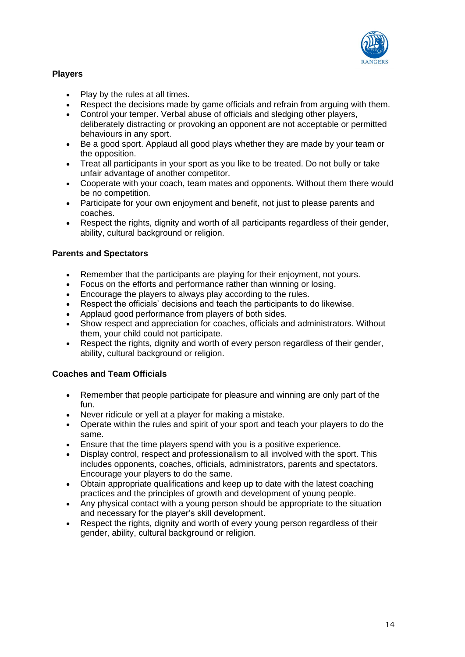

## **Players**

- Play by the rules at all times.
- Respect the decisions made by game officials and refrain from arguing with them.
- Control your temper. Verbal abuse of officials and sledging other players, deliberately distracting or provoking an opponent are not acceptable or permitted behaviours in any sport.
- Be a good sport. Applaud all good plays whether they are made by your team or the opposition.
- Treat all participants in your sport as you like to be treated. Do not bully or take unfair advantage of another competitor.
- Cooperate with your coach, team mates and opponents. Without them there would be no competition.
- Participate for your own enjoyment and benefit, not just to please parents and coaches.
- Respect the rights, dignity and worth of all participants regardless of their gender, ability, cultural background or religion.

#### **Parents and Spectators**

- Remember that the participants are playing for their enjoyment, not yours.
- Focus on the efforts and performance rather than winning or losing.
- Encourage the players to always play according to the rules.
- Respect the officials' decisions and teach the participants to do likewise.
- Applaud good performance from players of both sides.
- Show respect and appreciation for coaches, officials and administrators. Without them, your child could not participate.
- Respect the rights, dignity and worth of every person regardless of their gender, ability, cultural background or religion.

## **Coaches and Team Officials**

- Remember that people participate for pleasure and winning are only part of the fun.
- Never ridicule or yell at a player for making a mistake.
- Operate within the rules and spirit of your sport and teach your players to do the same.
- Ensure that the time players spend with you is a positive experience.
- Display control, respect and professionalism to all involved with the sport. This includes opponents, coaches, officials, administrators, parents and spectators. Encourage your players to do the same.
- Obtain appropriate qualifications and keep up to date with the latest coaching practices and the principles of growth and development of young people.
- Any physical contact with a young person should be appropriate to the situation and necessary for the player's skill development.
- Respect the rights, dignity and worth of every young person regardless of their gender, ability, cultural background or religion.